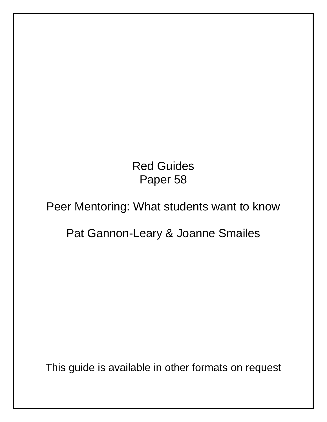# Red Guides Paper 58

# Peer Mentoring: What students want to know

# Pat Gannon-Leary & Joanne Smailes

This guide is available in other formats on request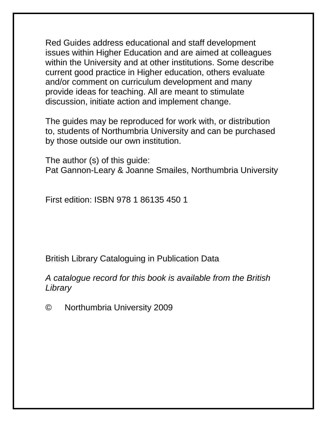Red Guides address educational and staff development issues within Higher Education and are aimed at colleagues within the University and at other institutions. Some describe current good practice in Higher education, others evaluate and/or comment on curriculum development and many provide ideas for teaching. All are meant to stimulate discussion, initiate action and implement change.

The guides may be reproduced for work with, or distribution to, students of Northumbria University and can be purchased by those outside our own institution.

The author (s) of this guide: Pat Gannon-Leary & Joanne Smailes, Northumbria University

First edition: ISBN 978 1 86135 450 1

British Library Cataloguing in Publication Data

*A catalogue record for this book is available from the British Library* 

© Northumbria University 2009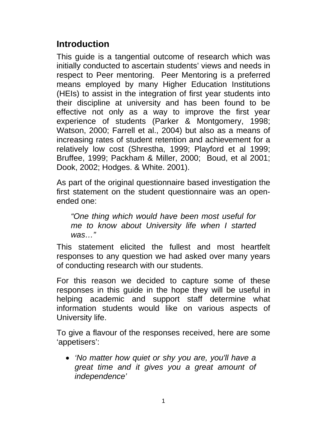# **Introduction**

This guide is a tangential outcome of research which was initially conducted to ascertain students' views and needs in respect to Peer mentoring. Peer Mentoring is a preferred means employed by many Higher Education Institutions (HEIs) to assist in the integration of first year students into their discipline at university and has been found to be effective not only as a way to improve the first year experience of students (Parker & Montgomery, 1998; Watson, 2000; Farrell et al., 2004) but also as a means of increasing rates of student retention and achievement for a relatively low cost (Shrestha, 1999; Playford et al 1999; Bruffee, 1999; Packham & Miller, 2000; Boud, et al 2001; Dook, 2002; Hodges. & White. 2001).

As part of the original questionnaire based investigation the first statement on the student questionnaire was an openended one:

*"One thing which would have been most useful for me to know about University life when I started was…"* 

This statement elicited the fullest and most heartfelt responses to any question we had asked over many years of conducting research with our students.

For this reason we decided to capture some of these responses in this guide in the hope they will be useful in helping academic and support staff determine what information students would like on various aspects of University life.

To give a flavour of the responses received, here are some 'appetisers':

• *'No matter how quiet or shy you are, you'll have a great time and it gives you a great amount of independence'*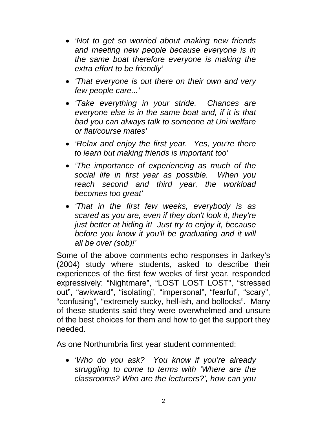- *'Not to get so worried about making new friends and meeting new people because everyone is in the same boat therefore everyone is making the extra effort to be friendly'*
- *'That everyone is out there on their own and very few people care...'*
- *'Take everything in your stride. Chances are everyone else is in the same boat and, if it is that bad you can always talk to someone at Uni welfare or flat/course mates'*
- *'Relax and enjoy the first year. Yes, you're there to learn but making friends is important too'*
- *'The importance of experiencing as much of the social life in first year as possible. When you reach second and third year, the workload becomes too great'*
- *'That in the first few weeks, everybody is as scared as you are, even if they don't look it, they're just better at hiding it! Just try to enjoy it, because before you know it you'll be graduating and it will all be over (sob)!'*

Some of the above comments echo responses in Jarkey's (2004) study where students, asked to describe their experiences of the first few weeks of first year, responded expressively: "Nightmare", "LOST LOST LOST", "stressed out", "awkward", "isolating", "impersonal", "fearful", "scary", "confusing", "extremely sucky, hell-ish, and bollocks". Many of these students said they were overwhelmed and unsure of the best choices for them and how to get the support they needed.

As one Northumbria first year student commented:

• *'Who do you ask? You know if you're already struggling to come to terms with 'Where are the classrooms? Who are the lecturers?', how can you*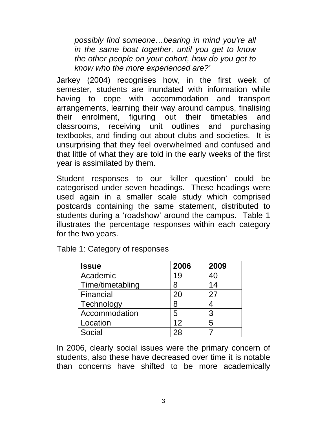*possibly find someone…bearing in mind you're all in the same boat together, until you get to know the other people on your cohort, how do you get to know who the more experienced are?'*

Jarkey (2004) recognises how, in the first week of semester, students are inundated with information while having to cope with accommodation and transport arrangements, learning their way around campus, finalising their enrolment, figuring out their timetables and classrooms, receiving unit outlines and purchasing textbooks, and finding out about clubs and societies. It is unsurprising that they feel overwhelmed and confused and that little of what they are told in the early weeks of the first year is assimilated by them.

Student responses to our 'killer question' could be categorised under seven headings. These headings were used again in a smaller scale study which comprised postcards containing the same statement, distributed to students during a 'roadshow' around the campus. Table 1 illustrates the percentage responses within each category for the two years.

| <b>Issue</b>     | 2006 | 2009 |
|------------------|------|------|
| Academic         | 19   | 40   |
| Time/timetabling | 8    | 14   |
| Financial        | 20   | 27   |
| Technology       | 8    |      |
| Accommodation    | 5    | 3    |
| Location         | 12   | 5    |
| Social           | 28   |      |

Table 1: Category of responses

In 2006, clearly social issues were the primary concern of students, also these have decreased over time it is notable than concerns have shifted to be more academically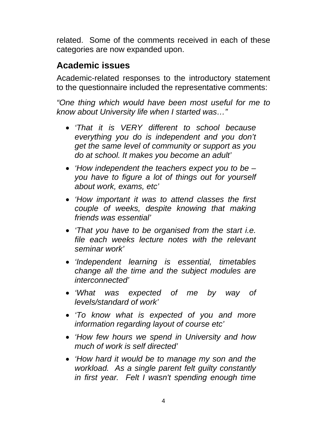related. Some of the comments received in each of these categories are now expanded upon.

# **Academic issues**

Academic-related responses to the introductory statement to the questionnaire included the representative comments:

- *'That it is VERY different to school because everything you do is independent and you don't get the same level of community or support as you do at school. It makes you become an adult'*
- *'How independent the teachers expect you to be you have to figure a lot of things out for yourself about work, exams, etc'*
- *'How important it was to attend classes the first couple of weeks, despite knowing that making friends was essential'*
- *'That you have to be organised from the start i.e. file each weeks lecture notes with the relevant seminar work'*
- *'Independent learning is essential, timetables change all the time and the subject modules are interconnected'*
- *'What was expected of me by way of levels/standard of work'*
- *'To know what is expected of you and more information regarding layout of course etc'*
- *'How few hours we spend in University and how much of work is self directed'*
- *'How hard it would be to manage my son and the workload. As a single parent felt guilty constantly in first year. Felt I wasn't spending enough time*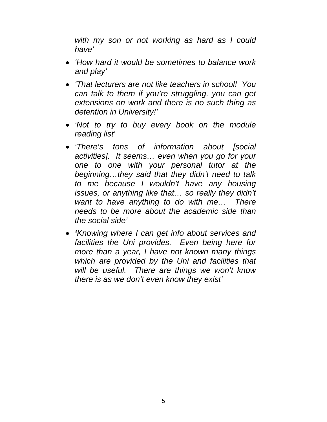*with my son or not working as hard as I could have'* 

- *'How hard it would be sometimes to balance work and play'*
- *'That lecturers are not like teachers in school! You can talk to them if you're struggling, you can get extensions on work and there is no such thing as detention in University!'*
- *'Not to try to buy every book on the module reading list'*
- *'There's tons of information about [social activities]. It seems… even when you go for your one to one with your personal tutor at the beginning…they said that they didn't need to talk to me because I wouldn't have any housing issues, or anything like that… so really they didn't want to have anything to do with me… There needs to be more about the academic side than the social side'*
- *'Knowing where I can get info about services and facilities the Uni provides. Even being here for more than a year, I have not known many things which are provided by the Uni and facilities that will be useful. There are things we won't know there is as we don't even know they exist'*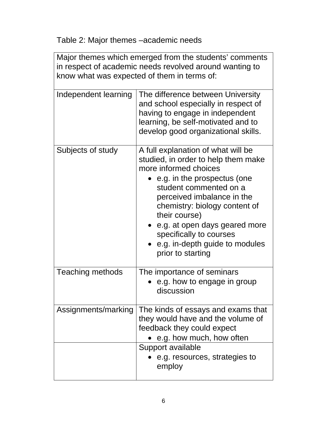Table 2: Major themes –academic needs

| Major themes which emerged from the students' comments<br>in respect of academic needs revolved around wanting to<br>know what was expected of them in terms of: |                                                                                                                                                                                                                                                                                                                                                                |  |
|------------------------------------------------------------------------------------------------------------------------------------------------------------------|----------------------------------------------------------------------------------------------------------------------------------------------------------------------------------------------------------------------------------------------------------------------------------------------------------------------------------------------------------------|--|
| Independent learning                                                                                                                                             | The difference between University<br>and school especially in respect of<br>having to engage in independent<br>learning, be self-motivated and to<br>develop good organizational skills.                                                                                                                                                                       |  |
| Subjects of study                                                                                                                                                | A full explanation of what will be<br>studied, in order to help them make<br>more informed choices<br>e.g. in the prospectus (one<br>student commented on a<br>perceived imbalance in the<br>chemistry: biology content of<br>their course)<br>e.g. at open days geared more<br>specifically to courses<br>e.g. in-depth guide to modules<br>prior to starting |  |
| <b>Teaching methods</b>                                                                                                                                          | The importance of seminars<br>e.g. how to engage in group<br>discussion                                                                                                                                                                                                                                                                                        |  |
| Assignments/marking                                                                                                                                              | The kinds of essays and exams that<br>they would have and the volume of<br>feedback they could expect<br>e.g. how much, how often<br>Support available<br>e.g. resources, strategies to<br>employ                                                                                                                                                              |  |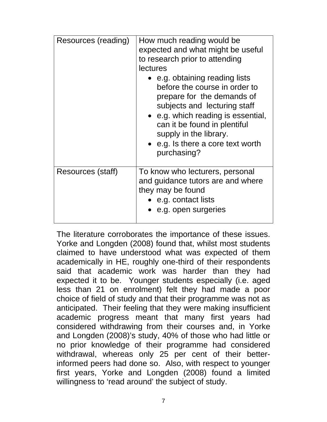| Resources (reading) | How much reading would be<br>expected and what might be useful<br>to research prior to attending<br>lectures<br>• e.g. obtaining reading lists<br>before the course in order to<br>prepare for the demands of<br>subjects and lecturing staff<br>• e.g. which reading is essential,<br>can it be found in plentiful<br>supply in the library.<br>• e.g. Is there a core text worth<br>purchasing? |
|---------------------|---------------------------------------------------------------------------------------------------------------------------------------------------------------------------------------------------------------------------------------------------------------------------------------------------------------------------------------------------------------------------------------------------|
| Resources (staff)   | To know who lecturers, personal<br>and guidance tutors are and where<br>they may be found<br>$\bullet$ e.g. contact lists<br>e.g. open surgeries                                                                                                                                                                                                                                                  |

The literature corroborates the importance of these issues. Yorke and Longden (2008) found that, whilst most students claimed to have understood what was expected of them academically in HE, roughly one-third of their respondents said that academic work was harder than they had expected it to be. Younger students especially (i.e. aged less than 21 on enrolment) felt they had made a poor choice of field of study and that their programme was not as anticipated. Their feeling that they were making insufficient academic progress meant that many first years had considered withdrawing from their courses and, in Yorke and Longden (2008)'s study, 40% of those who had little or no prior knowledge of their programme had considered withdrawal, whereas only 25 per cent of their betterinformed peers had done so. Also, with respect to younger first years, Yorke and Longden (2008) found a limited willingness to 'read around' the subject of study.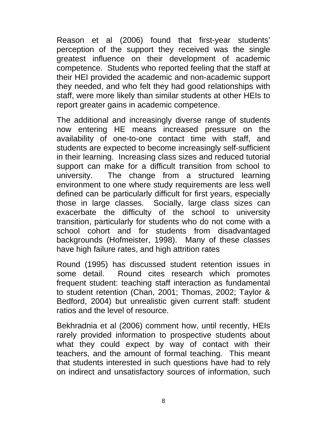Reason et al (2006) found that first-year students' perception of the support they received was the single greatest influence on their development of academic competence. Students who reported feeling that the staff at their HEI provided the academic and non-academic support they needed, and who felt they had good relationships with staff, were more likely than similar students at other HEIs to report greater gains in academic competence.

The additional and increasingly diverse range of students now entering HE means increased pressure on the availability of one-to-one contact time with staff, and students are expected to become increasingly self-sufficient in their learning. Increasing class sizes and reduced tutorial support can make for a difficult transition from school to university. The change from a structured learning environment to one where study requirements are less well defined can be particularly difficult for first years, especially those in large classes. Socially, large class sizes can exacerbate the difficulty of the school to university transition, particularly for students who do not come with a school cohort and for students from disadvantaged backgrounds (Hofmeister, 1998). Many of these classes have high failure rates, and high attrition rates

Round (1995) has discussed student retention issues in some detail. Round cites research which promotes frequent student: teaching staff interaction as fundamental to student retention (Chan, 2001; Thomas, 2002; Taylor & Bedford, 2004) but unrealistic given current staff: student ratios and the level of resource.

Bekhradnia et al (2006) comment how, until recently, HEIs rarely provided information to prospective students about what they could expect by way of contact with their teachers, and the amount of formal teaching. This meant that students interested in such questions have had to rely on indirect and unsatisfactory sources of information, such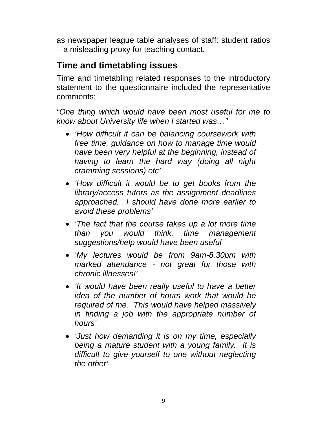as newspaper league table analyses of staff: student ratios – a misleading proxy for teaching contact.

# **Time and timetabling issues**

Time and timetabling related responses to the introductory statement to the questionnaire included the representative comments:

- *'How difficult it can be balancing coursework with free time, guidance on how to manage time would have been very helpful at the beginning, instead of having to learn the hard way (doing all night cramming sessions) etc'*
- *'How difficult it would be to get books from the library/access tutors as the assignment deadlines approached. I should have done more earlier to avoid these problems'*
- *'The fact that the course takes up a lot more time than you would think, time management suggestions/help would have been useful'*
- *'My lectures would be from 9am-8.30pm with marked attendance - not great for those with chronic illnesses!'*
- *'It would have been really useful to have a better idea of the number of hours work that would be required of me. This would have helped massively in finding a job with the appropriate number of hours'*
- *'Just how demanding it is on my time, especially being a mature student with a young family. It is difficult to give yourself to one without neglecting the other'*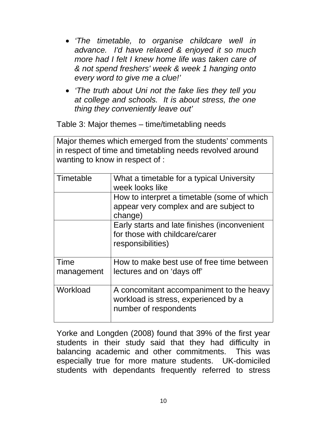- *'The timetable, to organise childcare well in advance. I'd have relaxed & enjoyed it so much more had I felt I knew home life was taken care of & not spend freshers' week & week 1 hanging onto every word to give me a clue!'*
- *'The truth about Uni not the fake lies they tell you at college and schools. It is about stress, the one thing they conveniently leave out'*

Table 3: Major themes – time/timetabling needs

Major themes which emerged from the students' comments in respect of time and timetabling needs revolved around wanting to know in respect of :

| Timetable          | What a timetable for a typical University<br>week looks like                                              |
|--------------------|-----------------------------------------------------------------------------------------------------------|
|                    | How to interpret a timetable (some of which<br>appear very complex and are subject to<br>change)          |
|                    | Early starts and late finishes (inconvenient<br>for those with childcare/carer<br>responsibilities)       |
| Time<br>management | How to make best use of free time between<br>lectures and on 'days off'                                   |
| Workload           | A concomitant accompaniment to the heavy<br>workload is stress, experienced by a<br>number of respondents |

Yorke and Longden (2008) found that 39% of the first year students in their study said that they had difficulty in balancing academic and other commitments. This was especially true for more mature students. UK-domiciled students with dependants frequently referred to stress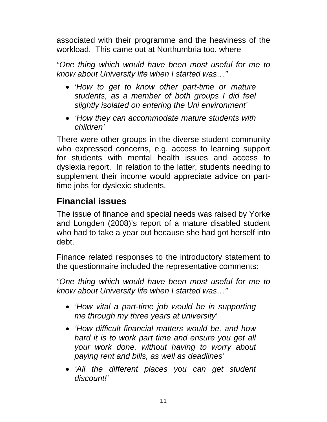associated with their programme and the heaviness of the workload. This came out at Northumbria too, where

*"One thing which would have been most useful for me to know about University life when I started was…"* 

- *'How to get to know other part-time or mature students, as a member of both groups I did feel slightly isolated on entering the Uni environment'*
- *'How they can accommodate mature students with children'*

There were other groups in the diverse student community who expressed concerns, e.g. access to learning support for students with mental health issues and access to dyslexia report. In relation to the latter, students needing to supplement their income would appreciate advice on parttime jobs for dyslexic students.

# **Financial issues**

The issue of finance and special needs was raised by Yorke and Longden (2008)'s report of a mature disabled student who had to take a year out because she had got herself into debt.

Finance related responses to the introductory statement to the questionnaire included the representative comments:

- *'How vital a part-time job would be in supporting me through my three years at university'*
- *'How difficult financial matters would be, and how hard it is to work part time and ensure you get all your work done, without having to worry about paying rent and bills, as well as deadlines'*
- *'All the different places you can get student discount!'*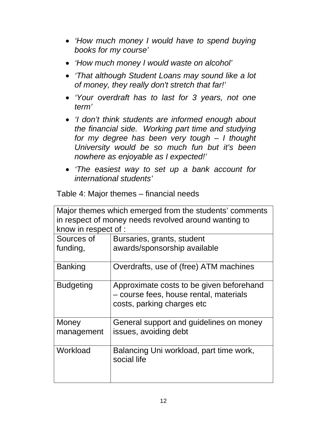- *'How much money I would have to spend buying books for my course'*
- *'How much money I would waste on alcohol'*
- *'That although Student Loans may sound like a lot of money, they really don't stretch that far!'*
- *'Your overdraft has to last for 3 years, not one term'*
- *'I don't think students are informed enough about the financial side. Working part time and studying for my degree has been very tough – I thought University would be so much fun but it's been nowhere as enjoyable as I expected!'*
- *'The easiest way to set up a bank account for international students'*

Table 4: Major themes – financial needs

| Major themes which emerged from the students' comments |                                                                                                                  |  |
|--------------------------------------------------------|------------------------------------------------------------------------------------------------------------------|--|
| in respect of money needs revolved around wanting to   |                                                                                                                  |  |
| know in respect of :                                   |                                                                                                                  |  |
| Sources of                                             | Bursaries, grants, student                                                                                       |  |
| funding,                                               | awards/sponsorship available                                                                                     |  |
| <b>Banking</b>                                         | Overdrafts, use of (free) ATM machines                                                                           |  |
| <b>Budgeting</b>                                       | Approximate costs to be given beforehand<br>- course fees, house rental, materials<br>costs, parking charges etc |  |
| Money                                                  | General support and guidelines on money                                                                          |  |
| management                                             | issues, avoiding debt                                                                                            |  |
| Workload                                               | Balancing Uni workload, part time work,<br>social life                                                           |  |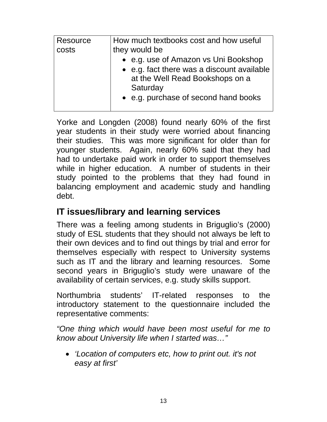| Resource<br>costs | How much textbooks cost and how useful<br>they would be<br>• e.g. use of Amazon vs Uni Bookshop<br>• e.g. fact there was a discount available<br>at the Well Read Bookshops on a<br>Saturday<br>• e.g. purchase of second hand books |
|-------------------|--------------------------------------------------------------------------------------------------------------------------------------------------------------------------------------------------------------------------------------|
|-------------------|--------------------------------------------------------------------------------------------------------------------------------------------------------------------------------------------------------------------------------------|

Yorke and Longden (2008) found nearly 60% of the first year students in their study were worried about financing their studies. This was more significant for older than for younger students. Again, nearly 60% said that they had had to undertake paid work in order to support themselves while in higher education. A number of students in their study pointed to the problems that they had found in balancing employment and academic study and handling debt.

#### **IT issues/library and learning services**

There was a feeling among students in Briguglio's (2000) study of ESL students that they should not always be left to their own devices and to find out things by trial and error for themselves especially with respect to University systems such as IT and the library and learning resources. Some second years in Briguglio's study were unaware of the availability of certain services, e.g. study skills support.

Northumbria students' IT-related responses to the introductory statement to the questionnaire included the representative comments:

*"One thing which would have been most useful for me to know about University life when I started was…"* 

• *'Location of computers etc, how to print out. it's not easy at first'*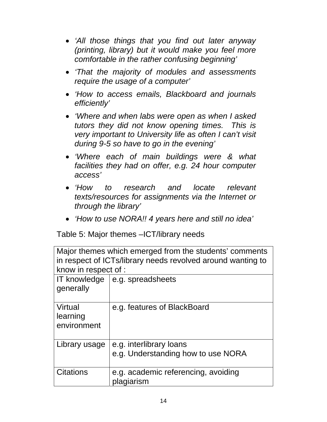- *'All those things that you find out later anyway (printing, library) but it would make you feel more comfortable in the rather confusing beginning'*
- *'That the majority of modules and assessments require the usage of a computer'*
- *'How to access emails, Blackboard and journals efficiently'*
- *'Where and when labs were open as when I asked tutors they did not know opening times. This is very important to University life as often I can't visit during 9-5 so have to go in the evening'*
- *'Where each of main buildings were & what facilities they had on offer, e.g. 24 hour computer access'*
- *'How to research and locate relevant texts/resources for assignments via the Internet or through the library'*
- *'How to use NORA!! 4 years here and still no idea'*

Table 5: Major themes –ICT/library needs

| Major themes which emerged from the students' comments<br>in respect of ICTs/library needs revolved around wanting to |                                                               |  |
|-----------------------------------------------------------------------------------------------------------------------|---------------------------------------------------------------|--|
| know in respect of :                                                                                                  |                                                               |  |
| <b>IT knowledge</b><br>generally                                                                                      | e.g. spreadsheets                                             |  |
| Virtual<br>learning<br>environment                                                                                    | e.g. features of BlackBoard                                   |  |
| Library usage                                                                                                         | e.g. interlibrary loans<br>e.g. Understanding how to use NORA |  |
| Citations                                                                                                             | e.g. academic referencing, avoiding<br>plagiarism             |  |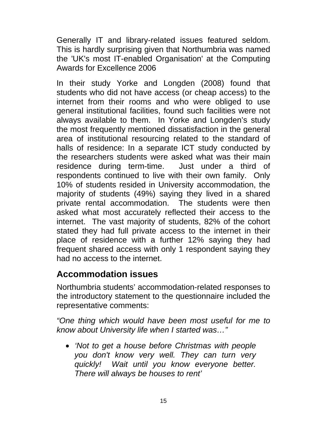Generally IT and library-related issues featured seldom. This is hardly surprising given that Northumbria was named the 'UK's most IT-enabled Organisation' at the Computing Awards for Excellence 2006

In their study Yorke and Longden (2008) found that students who did not have access (or cheap access) to the internet from their rooms and who were obliged to use general institutional facilities, found such facilities were not always available to them. In Yorke and Longden's study the most frequently mentioned dissatisfaction in the general area of institutional resourcing related to the standard of halls of residence: In a separate ICT study conducted by the researchers students were asked what was their main residence during term-time. Just under a third of respondents continued to live with their own family. Only 10% of students resided in University accommodation, the majority of students (49%) saying they lived in a shared private rental accommodation. The students were then asked what most accurately reflected their access to the internet. The vast majority of students, 82% of the cohort stated they had full private access to the internet in their place of residence with a further 12% saying they had frequent shared access with only 1 respondent saying they had no access to the internet.

#### **Accommodation issues**

Northumbria students' accommodation-related responses to the introductory statement to the questionnaire included the representative comments:

*"One thing which would have been most useful for me to know about University life when I started was…"* 

• *'Not to get a house before Christmas with people you don't know very well. They can turn very quickly! Wait until you know everyone better. There will always be houses to rent'*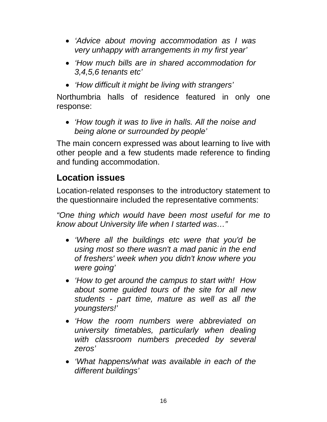- *'Advice about moving accommodation as I was very unhappy with arrangements in my first year'*
- *'How much bills are in shared accommodation for 3,4,5,6 tenants etc'*
- *'How difficult it might be living with strangers'*

Northumbria halls of residence featured in only one response:

• *'How tough it was to live in halls. All the noise and being alone or surrounded by people'* 

The main concern expressed was about learning to live with other people and a few students made reference to finding and funding accommodation.

# **Location issues**

Location-related responses to the introductory statement to the questionnaire included the representative comments:

- *'Where all the buildings etc were that you'd be using most so there wasn't a mad panic in the end of freshers' week when you didn't know where you were going'*
- *'How to get around the campus to start with! How about some guided tours of the site for all new students - part time, mature as well as all the youngsters!'*
- *'How the room numbers were abbreviated on university timetables, particularly when dealing with classroom numbers preceded by several zeros'*
- *'What happens/what was available in each of the different buildings'*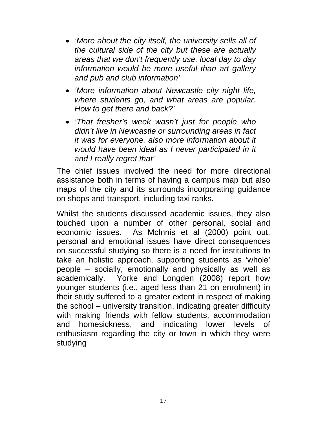- *'More about the city itself, the university sells all of the cultural side of the city but these are actually areas that we don't frequently use, local day to day information would be more useful than art gallery and pub and club information'*
- *'More information about Newcastle city night life, where students go, and what areas are popular. How to get there and back?'*
- *'That fresher's week wasn't just for people who didn't live in Newcastle or surrounding areas in fact it was for everyone. also more information about it would have been ideal as I never participated in it and I really regret that'*

The chief issues involved the need for more directional assistance both in terms of having a campus map but also maps of the city and its surrounds incorporating guidance on shops and transport, including taxi ranks.

Whilst the students discussed academic issues, they also touched upon a number of other personal, social and economic issues. As McInnis et al (2000) point out, personal and emotional issues have direct consequences on successful studying so there is a need for institutions to take an holistic approach, supporting students as 'whole' people – socially, emotionally and physically as well as academically. Yorke and Longden (2008) report how younger students (i.e., aged less than 21 on enrolment) in their study suffered to a greater extent in respect of making the school – university transition, indicating greater difficulty with making friends with fellow students, accommodation and homesickness, and indicating lower levels of enthusiasm regarding the city or town in which they were studying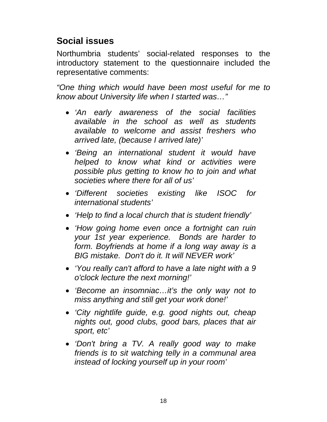#### **Social issues**

Northumbria students' social-related responses to the introductory statement to the questionnaire included the representative comments:

- *'An early awareness of the social facilities available in the school as well as students available to welcome and assist freshers who arrived late, (because I arrived late)'*
- *'Being an international student it would have helped to know what kind or activities were possible plus getting to know ho to join and what societies where there for all of us'*
- *'Different societies existing like ISOC for international students'*
- *'Help to find a local church that is student friendly'*
- *'How going home even once a fortnight can ruin your 1st year experience. Bonds are harder to form. Boyfriends at home if a long way away is a BIG mistake. Don't do it. It will NEVER work'*
- *'You really can't afford to have a late night with a 9 o'clock lecture the next morning!'*
- *'Become an insomniac…it's the only way not to miss anything and still get your work done!'*
- *'City nightlife guide, e.g. good nights out, cheap nights out, good clubs, good bars, places that air sport, etc'*
- *'Don't bring a TV. A really good way to make friends is to sit watching telly in a communal area instead of locking yourself up in your room'*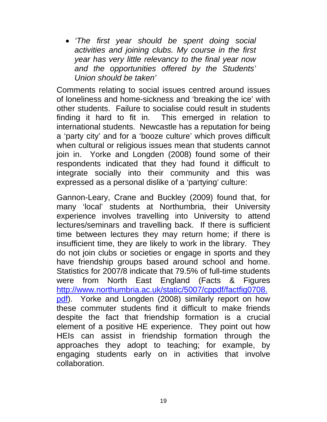• *'The first year should be spent doing social activities and joining clubs. My course in the first year has very little relevancy to the final year now and the opportunities offered by the Students' Union should be taken'* 

Comments relating to social issues centred around issues of loneliness and home-sickness and 'breaking the ice' with other students. Failure to socialise could result in students finding it hard to fit in. This emerged in relation to international students. Newcastle has a reputation for being a 'party city' and for a 'booze culture' which proves difficult when cultural or religious issues mean that students cannot join in. Yorke and Longden (2008) found some of their respondents indicated that they had found it difficult to integrate socially into their community and this was expressed as a personal dislike of a 'partying' culture:

Gannon-Leary, Crane and Buckley (2009) found that, for many 'local' students at Northumbria, their University experience involves travelling into University to attend lectures/seminars and travelling back. If there is sufficient time between lectures they may return home; if there is insufficient time, they are likely to work in the library. They do not join clubs or societies or engage in sports and they have friendship groups based around school and home. Statistics for 2007/8 indicate that 79.5% of full-time students were from North East England (Facts & Figures http://www.northumbria.ac.uk/static/5007/cppdf/factfig0708. pdf). Yorke and Longden (2008) similarly report on how these commuter students find it difficult to make friends despite the fact that friendship formation is a crucial element of a positive HE experience. They point out how HEIs can assist in friendship formation through the approaches they adopt to teaching; for example, by engaging students early on in activities that involve collaboration.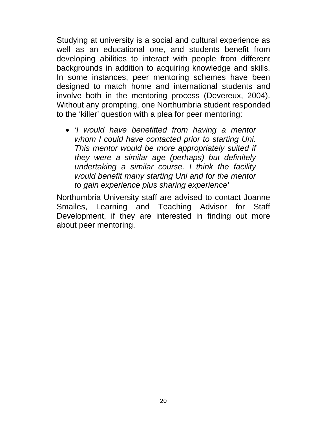Studying at university is a social and cultural experience as well as an educational one, and students benefit from developing abilities to interact with people from different backgrounds in addition to acquiring knowledge and skills. In some instances, peer mentoring schemes have been designed to match home and international students and involve both in the mentoring process (Devereux, 2004). Without any prompting, one Northumbria student responded to the 'killer' question with a plea for peer mentoring:

• *'I would have benefitted from having a mentor whom I could have contacted prior to starting Uni. This mentor would be more appropriately suited if they were a similar age (perhaps) but definitely undertaking a similar course. I think the facility would benefit many starting Uni and for the mentor to gain experience plus sharing experience'* 

Northumbria University staff are advised to contact Joanne Smailes, Learning and Teaching Advisor for Staff Development, if they are interested in finding out more about peer mentoring.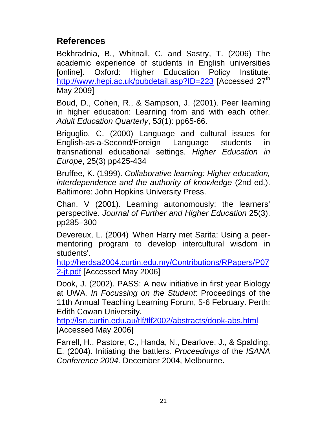#### **References**

Bekhradnia, B., Whitnall, C. and Sastry, T. (2006) The academic experience of students in English universities [online]. Oxford: Higher Education Policy Institute. http://www.hepi.ac.uk/pubdetail.asp?ID=223 [Accessed 27<sup>th</sup> May 2009]

Boud, D., Cohen, R., & Sampson, J. (2001). Peer learning in higher education: Learning from and with each other. *Adult Education Quarterly*, 5*3*(1): pp65-66.

Briguglio, C. (2000) Language and cultural issues for English-as-a-Second/Foreign Language students in transnational educational settings. *Higher Education in Europe*, 25(3) pp425-434

Bruffee, K. (1999). *Collaborative learning: Higher education, interdependence and the authority of knowledge* (2nd ed.). Baltimore: John Hopkins University Press.

Chan, V (2001). Learning autonomously: the learners' perspective. *Journal of Further and Higher Education* 25(3). pp285–300

Devereux, L. (2004) 'When Harry met Sarita: Using a peermentoring program to develop intercultural wisdom in students'.

http://herdsa2004.curtin.edu.my/Contributions/RPapers/P07 2-jt.pdf [Accessed May 2006]

Dook, J. (2002). PASS: A new initiative in first year Biology at UWA*. In Focussing on the Student*: Proceedings of the 11th Annual Teaching Learning Forum, 5-6 February. Perth: Edith Cowan University.

http://lsn.curtin.edu.au/tlf/tlf2002/abstracts/dook-abs.html [Accessed May 2006]

Farrell, H., Pastore, C., Handa, N., Dearlove, J., & Spalding, E. (2004). Initiating the battlers. *Proceedings* of the *ISANA Conference 2004.* December 2004, Melbourne.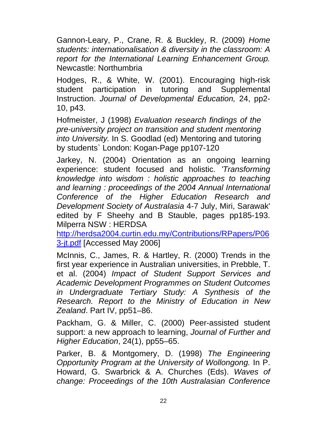Gannon-Leary, P., Crane, R. & Buckley, R. (2009) *Home students: internationalisation & diversity in the classroom: A report for the International Learning Enhancement Group.*  Newcastle: Northumbria

Hodges, R., & White, W. (2001). Encouraging high-risk student participation in tutoring and Supplemental Instruction. *Journal of Developmental Education,* 24, pp2- 10, p43.

Hofmeister, J (1998) *Evaluation research findings of the pre-university project on transition and student mentoring into University.* In S. Goodlad (ed) Mentoring and tutoring by students` London: Kogan-Page pp107-120

Jarkey, N. (2004) Orientation as an ongoing learning experience: student focused and holistic. *'Transforming knowledge into wisdom : holistic approaches to teaching and learning : proceedings of the 2004 Annual International Conference of the Higher Education Research and Development Society of Australasia* 4-7 July, Miri, Sarawak' edited by F Sheehy and B Stauble, pages pp185-193. Milperra NSW : HERDSA

http://herdsa2004.curtin.edu.my/Contributions/RPapers/P06 3-jt.pdf [Accessed May 2006]

McInnis, C., James, R. & Hartley, R. (2000) Trends in the first year experience in Australian universities, in Prebble, T. et al. (2004) *Impact of Student Support Services and Academic Development Programmes on Student Outcomes in Undergraduate Tertiary Study: A Synthesis of the Research. Report to the Ministry of Education in New Zealand*. Part IV, pp51–86.

Packham, G. & Miller, C. (2000) Peer-assisted student support: a new approach to learning, *Journal of Further and Higher Education*, 24(1), pp55–65.

Parker, B. & Montgomery, D. (1998) *The Engineering Opportunity Program at the University of Wollongong.* In P. Howard, G. Swarbrick & A. Churches (Eds). *Waves of change: Proceedings of the 10th Australasian Conference*